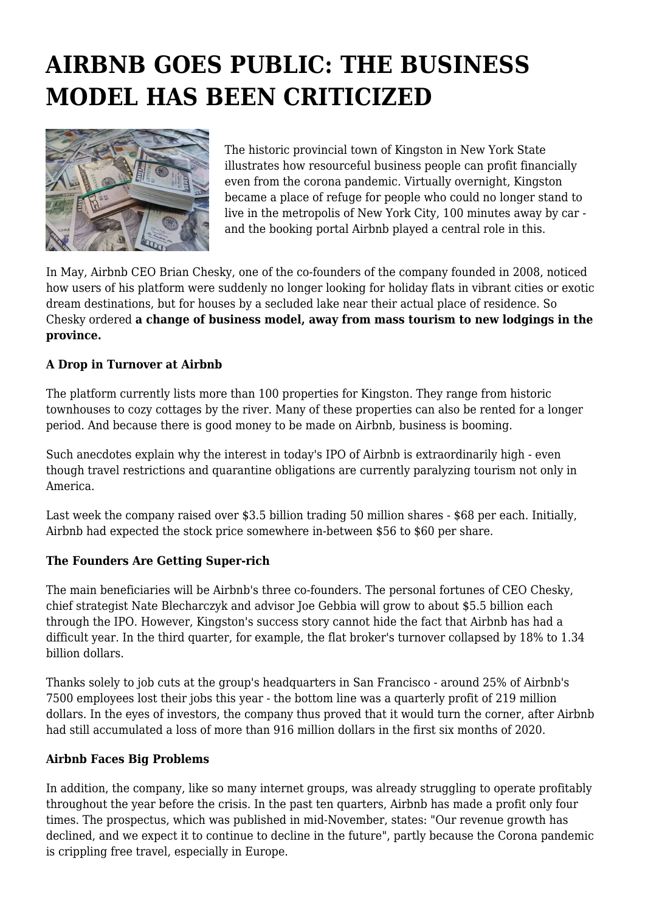## **AIRBNB GOES PUBLIC: THE BUSINESS MODEL HAS BEEN CRITICIZED**



The historic provincial town of Kingston in New York State illustrates how resourceful business people can profit financially even from the corona pandemic. Virtually overnight, Kingston became a place of refuge for people who could no longer stand to live in the metropolis of New York City, 100 minutes away by car and the booking portal Airbnb played a central role in this.

In May, Airbnb CEO Brian Chesky, one of the co-founders of the company founded in 2008, noticed how users of his platform were suddenly no longer looking for holiday flats in vibrant cities or exotic dream destinations, but for houses by a secluded lake near their actual place of residence. So Chesky ordered **a change of business model, away from mass tourism to new lodgings in the province.**

## **A Drop in Turnover at Airbnb**

The platform currently lists more than 100 properties for Kingston. They range from historic townhouses to cozy cottages by the river. Many of these properties can also be rented for a longer period. And because there is good money to be made on Airbnb, business is booming.

Such anecdotes explain why the interest in today's IPO of Airbnb is extraordinarily high - even though travel restrictions and quarantine obligations are currently paralyzing tourism not only in America.

Last week the company raised over \$3.5 billion trading 50 million shares - \$68 per each. Initially, Airbnb had expected the stock price somewhere in-between \$56 to \$60 per share.

## **The Founders Are Getting Super-rich**

The main beneficiaries will be Airbnb's three co-founders. The personal fortunes of CEO Chesky, chief strategist Nate Blecharczyk and advisor Joe Gebbia will grow to about \$5.5 billion each through the IPO. However, Kingston's success story cannot hide the fact that Airbnb has had a difficult year. In the third quarter, for example, the flat broker's turnover collapsed by 18% to 1.34 billion dollars.

Thanks solely to job cuts at the group's headquarters in San Francisco - around 25% of Airbnb's 7500 employees lost their jobs this year - the bottom line was a quarterly profit of 219 million dollars. In the eyes of investors, the company thus proved that it would turn the corner, after Airbnb had still accumulated a loss of more than 916 million dollars in the first six months of 2020.

## **Airbnb Faces Big Problems**

In addition, the company, like so many internet groups, was already struggling to operate profitably throughout the year before the crisis. In the past ten quarters, Airbnb has made a profit only four times. The prospectus, which was published in mid-November, states: "Our revenue growth has declined, and we expect it to continue to decline in the future", partly because the Corona pandemic is crippling free travel, especially in Europe.